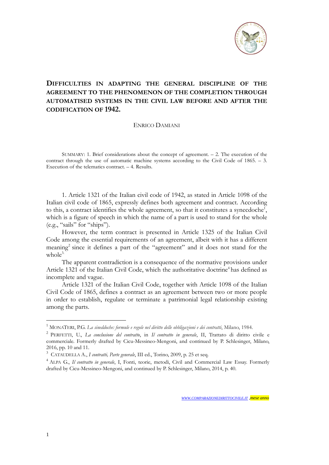

## **DIFFICULTIES IN ADAPTING THE GENERAL DISCIPLINE OF THE AGREEMENT TO THE PHENOMENON OF THE COMPLETION THROUGH AUTOMATISED SYSTEMS IN THE CIVIL LAW BEFORE AND AFTER THE CODIFICATION OF 1942.**

## ENRICO DAMIANI

SUMMARY: 1. Brief considerations about the concept of agreement. – 2. The execution of the contract through the use of automatic machine systems according to the Civil Code of 1865. – 3. Execution of the telematics contract. – 4. Results.

1. Article 1321 of the Italian civil code of 1942, as stated in Article 1098 of the Italian civil code of 1865, expressly defines both agreement and contract. According to this, a contract identifies the whole agreement, so that it constitutes a synecdoche<sup>1</sup>, which is a figure of speech in which the name of a part is used to stand for the whole (e.g., "sails" for "ships").

However, the term contract is presented in Article 1325 of the Italian Civil Code among the essential requirements of an agreement, albeit with it has a different meaning<sup>2</sup> since it defines a part of the "agreement" and it does not stand for the  $whole<sup>3</sup>$ 

The apparent contradiction is a consequence of the normative provisions under Article 1321 of the Italian Civil Code, which the authoritative doctrine<sup>4</sup> has defined as incomplete and vague.

Article 1321 of the Italian Civil Code, together with Article 1098 of the Italian Civil Code of 1865, defines a contract as an agreement between two or more people in order to establish, regulate or terminate a patrimonial legal relationship existing among the parts.

<sup>1</sup> MONATERI, P.G. *La sineddoche: formule e regole nel diritto delle obbligazioni e dei contratti*, Milano, 1984.

<sup>2</sup> PERFETTI, U., *La conclusione del contratto*, in *Il contratto in generale*, II, Trattato di diritto civile e commerciale. Formerly drafted by Cicu-Messineo-Mengoni, and continued by P. Schlesinger, Milano, 2016, pp. 10 and 11.

<sup>3</sup> CATAUDELLA A., *I contratti, Parte generale*, III ed., Torino, 2009, p. 25 et seq.

<sup>4</sup> ALPA G., *Il contratto in generale*, I, Fonti, teorie, metodi, Civil and Commercial Law Essay. Formerly drafted by Cicu-Messineo-Mengoni, and continued by P. Schlesinger, Milano, 2014, p. 40.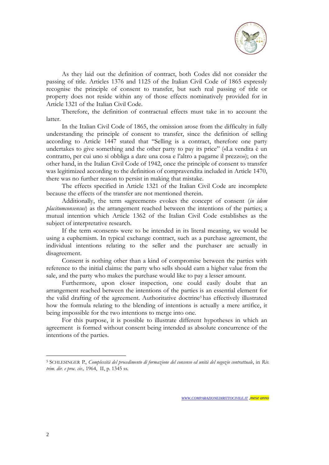

As they laid out the definition of contract, both Codes did not consider the passing of title. Articles 1376 and 1125 of the Italian Civil Code of 1865 expressly recognise the principle of consent to transfer, but such real passing of title or property does not reside within any of those effects nominatively provided for in Article 1321 of the Italian Civil Code.

Therefore, the definition of contractual effects must take in to account the latter.

In the Italian Civil Code of 1865, the omission arose from the difficulty in fully understanding the principle of consent to transfer, since the definition of selling according to Article 1447 stated that "Selling is a contract, therefore one party undertakes to give something and the other party to pay its price" («La vendita è un contratto, per cui uno si obbliga a dare una cosa e l'altro a pagarne il prezzo»); on the other hand, in the Italian Civil Code of 1942, once the principle of consent to transfer was legitimized according to the definition of compravendita included in Article 1470, there was no further reason to persist in making that mistake.

The effects specified in Article 1321 of the Italian Civil Code are incomplete because the effects of the transfer are not mentioned therein.

Additionally, the term «agreement» evokes the concept of consent (*in idem placitumconsensus*) as the arrangement reached between the intentions of the parties; a mutual intention which Article 1362 of the Italian Civil Code establishes as the subject of interpretative research.

If the term «consent» were to be intended in its literal meaning, we would be using a euphemism. In typical exchange contract, such as a purchase agreement, the individual intentions relating to the seller and the purchaser are actually in disagreement.

Consent is nothing other than a kind of compromise between the parties with reference to the initial claims: the party who sells should earn a higher value from the sale, and the party who makes the purchase would like to pay a lesser amount.

Furthermore, upon closer inspection, one could easily doubt that an arrangement reached between the intentions of the parties is an essential element for the valid drafting of the agreement. Authoritative doctrine<sup>5</sup> has effectively illustrated how the formula relating to the blending of intentions is actually a mere artifice, it being impossible for the two intentions to merge into one.

For this purpose, it is possible to illustrate different hypotheses in which an agreement is formed without consent being intended as absolute concurrence of the intentions of the parties.

<sup>5</sup> SCHLESINGER P., *Complessità del procedimento di formazione del consenso ed unità del negozio contrattuale*, in *Riv. trim. dir. e proc. civ.,* 1964, II, p. 1345 ss.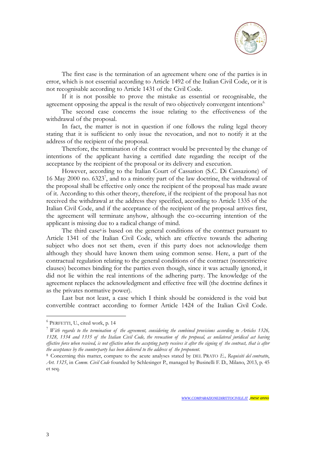

The first case is the termination of an agreement where one of the parties is in error, which is not essential according to Article 1492 of the Italian Civil Code, or it is not recognisable according to Article 1431 of the Civil Code.

If it is not possible to prove the mistake as essential or recognisable, the agreement opposing the appeal is the result of two objectively convergent intentions<sup>6</sup>.

The second case concerns the issue relating to the effectiveness of the withdrawal of the proposal.

In fact, the matter is not in question if one follows the ruling legal theory stating that it is sufficient to only issue the revocation, and not to notify it at the address of the recipient of the proposal.

Therefore, the termination of the contract would be prevented by the change of intentions of the applicant having a certified date regarding the receipt of the acceptance by the recipient of the proposal or its delivery and execution.

However, according to the Italian Court of Cassation (S.C. Di Cassazione) of 16 May 2000 no. 6323<sup>7</sup> , and to a minority part of the law doctrine, the withdrawal of the proposal shall be effective only once the recipient of the proposal has made aware of it. According to this other theory, therefore, if the recipient of the proposal has not received the withdrawal at the address they specified, according to Article 1335 of the Italian Civil Code, and if the acceptance of the recipient of the proposal arrives first, the agreement will terminate anyhow, although the co-occurring intention of the applicant is missing due to a radical change of mind.

The third case<sup>8</sup> is based on the general conditions of the contract pursuant to Article 1341 of the Italian Civil Code, which are effective towards the adhering subject who does not set them, even if this party does not acknowledge them although they should have known them using common sense. Here, a part of the contractual regulation relating to the general conditions of the contract (nonrestrictive clauses) becomes binding for the parties even though, since it was actually ignored, it did not lie within the real intentions of the adhering party. The knowledge of the agreement replaces the acknowledgment and effective free will (the doctrine defines it as the privates normative power).

Last but not least, a case which I think should be considered is the void but convertible contract according to former Article 1424 of the Italian Civil Code.

<sup>6</sup> PERFETTI, U., cited work, p. 14

 $\frac{7}{1}$  With regards to the termination of the agreement, considering the combined provisions according to Articles 1326, 1328, 1334 and 1335 of the Italian Civil Code, the revocation of the proposal, as unilateral juridical act having effective force when received, is not effective when the accepting party receives it after the signing of the contract, that is after *the acceptance by the counterparty has been delivered to the address of the proponent.*

<sup>8</sup> Concerning this matter, compare to the acute analyses stated by DEL PRATO *E., Requisiti del contratto*, *Art. 1325*, in *Comm. Civil Code* founded by Schlesinger P., managed by Businelli F. D., Milano, 2013, p. 45 et seq.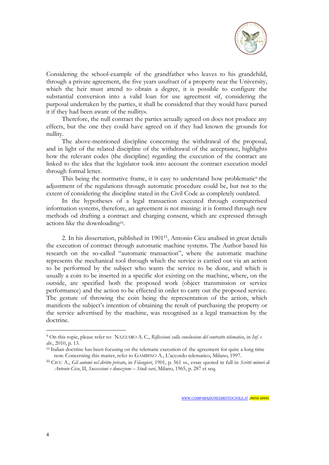

Considering the school-example of the grandfather who leaves to his grandchild, through a private agreement, the five years usufruct of a property near the University, which the heir must attend to obtain a degree, it is possible to configure the substantial conversion into a valid loan for use agreement «if, considering the purposal undertaken by the parties, it shall be considered that they would have pursed it if they had been aware of the nullity».

Therefore, the null contract the parties actually agreed on does not produce any effects, but the one they could have agreed on if they had known the grounds for nullity.

The above-mentioned discipline concerning the withdrawal of the proposal, and in light of the related discipline of the withdrawal of the acceptance, highlights how the relevant codes (the discipline) regarding the execution of the contract are linked to the idea that the legislator took into account the contract execution model through formal letter.

This being the normative frame, it is easy to understand how problematic<sup>9</sup> the adjustment of the regulations through automatic procedure could be, but not to the extent of considering the discipline stated in the Civil Code as completely outdated.

In the hypotheses of a legal transaction executed through computerised information systems, therefore, an agreement is not missing: it is formed through new methods od drafting a contract and charging consent, which are expressed through actions like the downloading<sup>10</sup> .

2. In his dissertation, published in 1901<sup>11</sup>, Antonio Cicu analised in great details the execution of contract through automatic machine systems. The Author based his research on the so-called "automatic transaction", where the automatic machine represents the mechanical tool through which the service is carried out via an action to be performed by the subject who wants the service to be done, and which is usually a coin to be inserted in a specific slot existing on the machine, where, on the outside, are specified both the proposed work (object transmission or service performance) and the action to be effected in order to carry out the proposed service. The gesture of throwing the coin being the representation of the action, which manifests the subject's intention of obtaining the result of purchasing the property or the service advertised by the machine, was recognised as a legal transaction by the doctrine.

<sup>9</sup> On this topic, please refer to: NAZZARO A. C., *Riflessioni sulla conclusione del contratto telematico*, in *Inf. e dir.*, 2010, p. 13.

<sup>&</sup>lt;sup>10</sup> Italian doctrine has been focusing on the telematic execution of the agreement for quite a long time now. Concerning this matter, refer to GAMBINO A., L'accordo telematico, Milano, 1997.

<sup>11</sup> CICU A., *Gli automi nel diritto privato*, in *Filangieri*, 1901, p. 561 ss., essay quoted in full in *Scritti minori di Antonio Cicu*, II, *Successioni e donazione – Studi vari*, Milano, 1965, p. 287 et seq.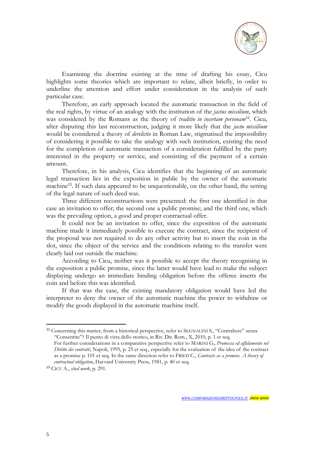

Examining the doctrine existing at the time of drafting his essay, Cicu highlights some theories which are important to relate, albeit briefly, in order to underline the attention and effort under consideration in the analysis of such particular case.

Therefore, an early approach located the automatic transaction in the field of the real rights, by virtue of an analogy with the institution of the *jactus missilium*, which was considered by the Romans as the theory of *traditio in incertam personam*<sup>12</sup> . Cicu, after disputing this last reconstruction, judging it more likely that the *jactu missilium* would be considered a theory of *derelictio* in Roman Law, stigmatised the impossibility of considering it possible to take the analogy with such institution, existing the need for the completion of automatic transaction of a consideration fulfilled by the party interested in the property or service, and consisting of the payment of a certain amount.

Therefore, in his analysis, Cicu identifies that the beginning of an automatic legal transaction lies in the exposition in public by the owner of the automatic machine<sup>13</sup>. If such data appeared to be unquestionable, on the other hand, the setting of the legal nature of such deed was.

Three different reconstructions were presented: the first one identified in that case an invitation to offer; the second one a public promise; and the third one, which was the prevailing option, a good and proper contractual offer.

It could not be an invitation to offer, since the exposition of the automatic machine made it immediately possible to execute the contract, since the recipient of the proposal was not required to do any other activity but to insert the coin in the slot, since the object of the service and the conditions relating to the transfer were clearly laid out outside the machine.

According to Cicu, neither was it possible to accept the theory recognising in the exposition a public promise, since the latter would have lead to make the subject displaying undergo an immediate binding obligation before the offeree inserts the coin and before this was identified.

If that was the case, the existing mandatory obligation would have led the interpreter to deny the owner of the automatic machine the power to withdraw or modify the goods displayed in the automatic machine itself.

<sup>&</sup>lt;sup>12</sup> Concerning this matter, from a historical perspective, refer to SEGNALINI S., "Contrahere" senza "Consentire"? Il punto di vista dello storico, in Riv. Dir. Rom., X, 2010, p. 1 et seq. For further considerations in a comparative perspective refer to MARINI G., *Promessa ed affidamento nel Diritto dei contratti*, Napoli, 1995, p. 25 et seq., especially for the evaluation of the idea of the contract as a promise p. 101 et seq. In the same direction refer to FRIED C., *Contracts as a promise. A theory of*

*contractual obligation*, Harvard University Press, 1981, p. 40 et seq.

<sup>13</sup> CICU A., *cited work*, p. 291.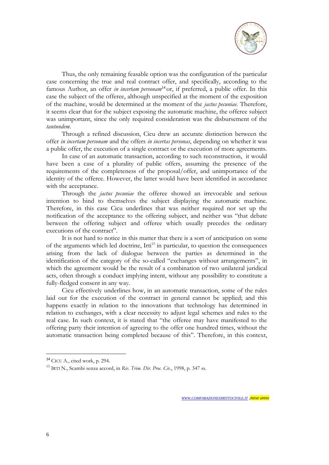

Thus, the only remaining feasable option was the configuration of the particular case concerning the true and real contract offer, and specifically, according to the famous Author, an offer *in incertam personam*<sup>14</sup> or, if preferred, a public offer. In this case the subject of the offeree, although unspecified at the moment of the exposition of the machine, would be determined at the moment of the *jactus pecuniae.* Therefore, it seems clear that for the subject exposing the automatic machine, the offeree subject was unimportant, since the only required consideration was the disbursement of the *tantundem*.

Through a refined discussion, Cicu drew an accurate distinction between the offer *in incertam personam* and the offers *in incertas personas*, depending on whether it was a public offer, the execution of a single contract or the execution of more agreements.

In case of an automatic transaction, according to such reconstruction, it would have been a case of a plurality of public offers, assuming the presence of the requirements of the completeness of the proposal/offer, and unimportance of the identity of the offeree. However, the latter would have been identified in accordance with the acceptance.

Through the *jactus pecuniae* the offeree showed an irrevocable and serious intention to bind to themselves the subject displaying the automatic machine. Therefore, in this case Cicu underlines that was neither required nor set up the notification of the acceptance to the offering subject, and neither was "that debate between the offering subject and offeree which usually precedes the ordinary executions of the contract".

It is not hard to notice in this matter that there is a sort of anticipation on some of the arguments which led doctrine, Irti<sup>15</sup> in particular, to question the consequences arising from the lack of dialogue between the parties as determined in the identification of the category of the so-called "exchanges without arrangements", in which the agreement would be the result of a combination of two unilateral juridical acts, often through a conduct implying intent, without any possibility to constitute a fully-fledged consent in any way.

Cicu effectively underlines how, in an automatic transaction, some of the rules laid out for the execution of the contract in general cannot be applied; and this happens exactly in relation to the innovations that technology has determined in relation to exchanges, with a clear necessity to adjust legal schemes and rules to the real case. In such context, it is stated that "the offeree may have manifested to the offering party their intention of agreeing to the offer one hundred times, without the automatic transaction being completed because of this". Therefore, in this context,

<sup>14</sup> CICU A., cited work, p. 294.

<sup>15</sup> IRTI N., Scambi senza accord, in *Riv. Trim. Dir. Proc. Civ.*, 1998, p. 347 ss.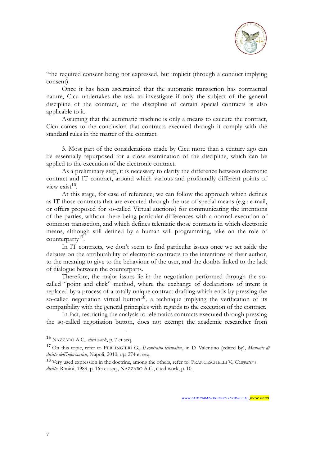

"the required consent being not expressed, but implicit (through a conduct implying consent).

Once it has been ascertained that the automatic transaction has contractual nature, Cicu undertakes the task to investigate if only the subject of the general discipline of the contract, or the discipline of certain special contracts is also applicable to it.

Assuming that the automatic machine is only a means to execute the contract, Cicu comes to the conclusion that contracts executed through it comply with the standard rules in the matter of the contract.

3. Most part of the considerations made by Cicu more than a century ago can be essentially repurposed for a close examination of the discipline, which can be applied to the execution of the electronic contract.

As a preliminary step, it is necessary to clarify the difference between electronic contract and IT contract, around which various and profoundly different points of view exist<sup>16</sup>.

At this stage, for ease of reference, we can follow the approach which defines as IT those contracts that are executed through the use of special means (e.g.: e-mail, or offers proposed for so-called Virtual auctions) for communicating the intentions of the parties, without there being particular differences with a normal execution of common transaction, and which defines telematic those contracts in which electronic means, although still defined by a human will programming, take on the role of counterparty<sup>17</sup>.

In IT contracts, we don't seem to find particular issues once we set aside the debates on the attributability of electronic contracts to the intentions of their author, to the meaning to give to the behaviour of the user, and the doubts linked to the lack of dialogue between the counterparts.

Therefore, the major issues lie in the negotiation performed through the socalled "point and click" method, where the exchange of declarations of intent is replaced by a process of a totally unique contract drafting which ends by pressing the so-called negotiation virtual button<sup>18</sup>, a technique implying the verification of its compatibility with the general principles with regards to the execution of the contract.

In fact, restricting the analysis to telematics contracts executed through pressing the so-called negotiation button, does not exempt the academic researcher from

<sup>16</sup> NAZZARO A.C., *cited work*, p. 7 et seq.

<sup>17</sup> On this topic, refer to PERLINGIERI G., *Il contratto telematico*, in D. Valentino (edited by), *Manuale di diritto dell'informatica*, Napoli, 2010, op. 274 et seq.

<sup>18</sup> Very used expression in the doctrine, among the others, refer to: FRANCESCHELLI V., *Computer e diritto*, Rimini, 1989, p. 165 et seq., NAZZARO A.C., cited work, p. 10.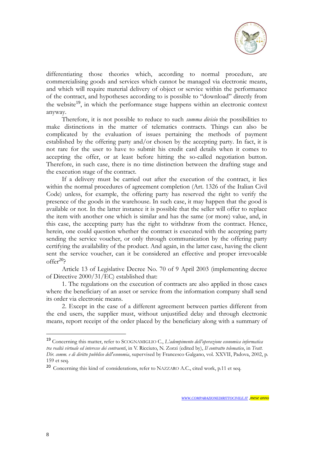

differentiating those theories which, according to normal procedure, are commercialising goods and services which cannot be managed via electronic means, and which will require material delivery of object or service within the performance of the contract, and hypotheses according to is possible to "download" directly from the website<sup>19</sup>, in which the performance stage happens within an electronic context anyway.

Therefore, it is not possible to reduce to such *summa divisio* the possibilities to make distinctions in the matter of telematics contracts. Things can also be complicated by the evaluation of issues pertaining the methods of payment established by the offering party and/or chosen by the accepting party. In fact, it is not rare for the user to have to submit his credit card details when it comes to accepting the offer, or at least before hitting the so-called negotiation button. Therefore, in such case, there is no time distinction between the drafting stage and the execution stage of the contract.

If a delivery must be carried out after the execution of the contract, it lies within the normal procedures of agreement completion (Art. 1326 of the Italian Civil Code) unless, for example, the offering party has reserved the right to verify the presence of the goods in the warehouse. In such case, it may happen that the good is available or not. In the latter instance it is possible that the seller will offer to replace the item with another one which is similar and has the same (or more) value, and, in this case, the accepting party has the right to withdraw from the contract. Hence, herein, one could question whether the contract is executed with the accepting party sending the service voucher, or only through communication by the offering party certifying the availability of the product. And again, in the latter case, having the client sent the service voucher, can it be considered an effective and proper irrevocable offer $20$ ?

Article 13 of Legislative Decree No. 70 of 9 April 2003 (implementing decree of Directive 2000/31/EC) established that:

1. The regulations on the execution of contracts are also applied in those cases where the beneficiary of an asset or service from the information company shall send its order via electronic means.

2. Except in the case of a different agreement between parties different from the end users, the supplier must, without unjustified delay and through electronic means, report receipt of the order placed by the beneficiary along with a summary of

<sup>19</sup> Concerning this matter, refer to SCOGNAMIGLIO C., *L'adempimento dell'operazione economica informatica tra realtà virtuale ed interesse dei contraenti*, in V. Ricciuto, N. Zorzi (edited by), *Il contratto telematico*, in *Tratt. Dir. comm. e di diritto pubblico dell'economia*, supervised by Francesco Galgano, vol. XXVII, Padova, 2002, p. 159 et seq.

<sup>20</sup> Concerning this kind of considerations, refer to NAZZARO A.C., cited work, p.11 et seq.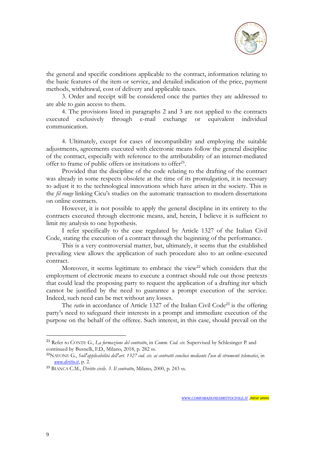

the general and specific conditions applicable to the contract, information relating to the basic features of the item or service, and detailed indication of the price, payment methods, withdrawal, cost of delivery and applicable taxes.

3. Order and receipt will be considered once the parties they are addressed to are able to gain access to them.

4. The provisions listed in paragraphs 2 and 3 are not applied to the contracts executed exclusively through e-mail exchange or equivalent individual communication.

4. Ultimately, except for cases of incompatibility and employing the suitable adjustments, agreements executed with electronic means follow the general discipline of the contract, especially with reference to the attributability of an internet-mediated offer to frame of public offers or invitations to offer<sup>21</sup>.

Provided that the discipline of the code relating to the drafting of the contract was already in some respects obsolete at the time of its promulgation, it is necessary to adjust it to the technological innovations which have arisen in the society. This is the *fil rouge* linking Cicu's studies on the automatic transaction to modern dissertations on online contracts.

However, it is not possible to apply the general discipline in its entirety to the contracts executed through electronic means, and, herein, I believe it is sufficient to limit my analysis to one hypothesis.

I refer specifically to the case regulated by Article 1327 of the Italian Civil Code, stating the execution of a contract through the beginning of the performance.

This is a very controversial matter, but, ultimately, it seems that the established prevailing view allows the application of such procedure also to an online-executed contract.

Moreover, it seems legitimate to embrace the view<sup>22</sup> which considers that the employment of electronic means to execute a contract should rule out those pretexts that could lead the proposing party to request the application of a drafting iter which cannot be justified by the need to guarantee a prompt execution of the service. Indeed, such need can be met without any losses.

The *ratio* in accordance of Article 1327 of the Italian Civil Code<sup>23</sup> is the offering party's need to safeguard their interests in a prompt and immediate execution of the purpose on the behalf of the offeree. Such interest, in this case, should prevail on the

<sup>21</sup> Refer to CONTE G., *La formazione del contratto*, in *Comm. Cod. civ.* Supervised by Schlesinger P. and continued by Busnelli, F.D., Milano, 2018, p. 282 ss.

<sup>22</sup>NAVONE G., *Sull'applicabilità dell'art. 1327 cod. civ. ai contratti conclusi mediante l'uso di strumenti telematici*, in *[www.diritto.it](http://www.diritto.it/)*, p. 2.

<sup>23</sup> BIANCA C.M., *Diritto civile. 3. Il contratto*, Milano, 2000, p. 243 ss.